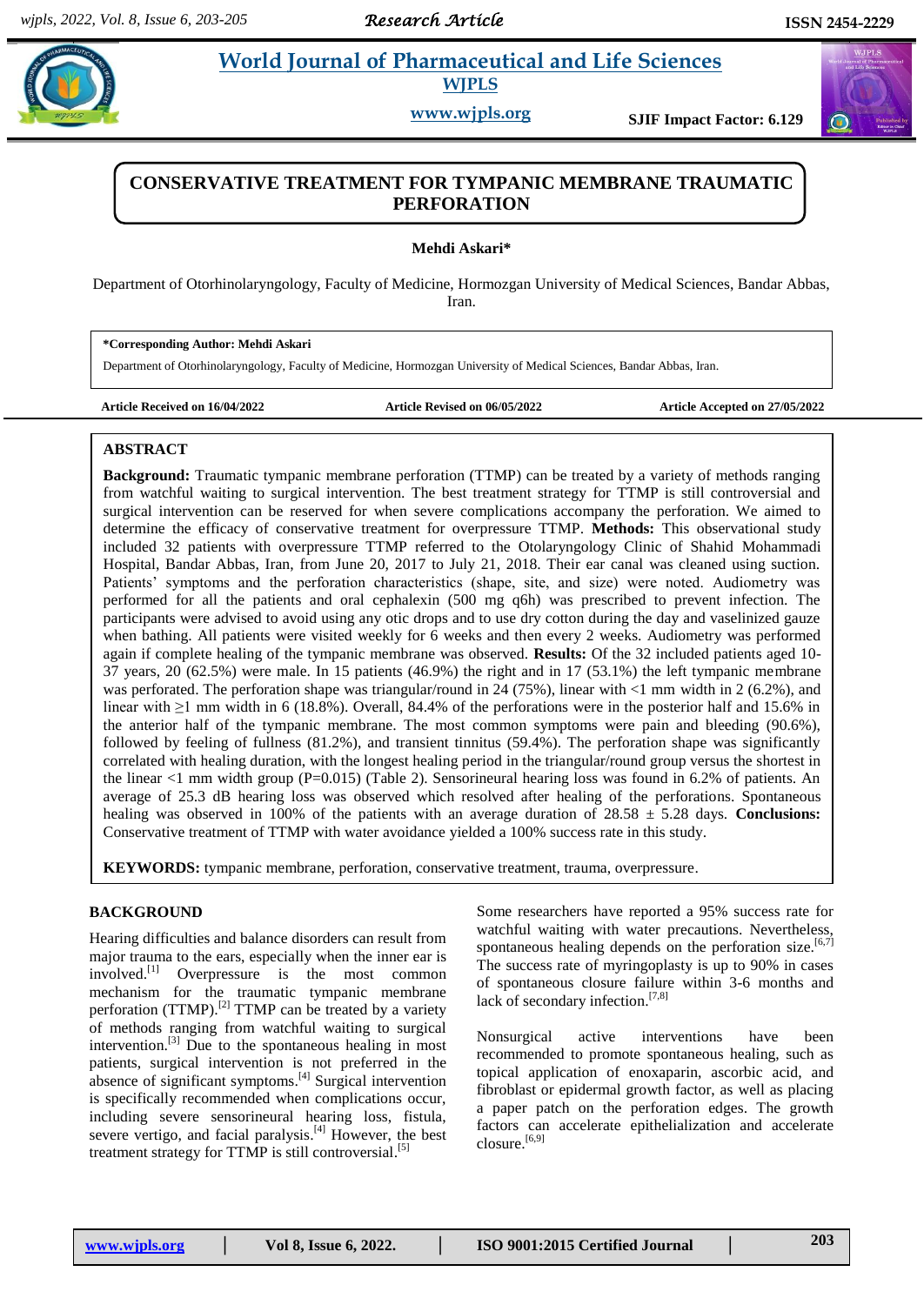# **Askarring World Journal of Pharmaceutical and Life Sciences WJPLS**

**www.wjpls.org SJIF Impact Factor: 6.129**



## **CONSERVATIVE TREATMENT FOR TYMPANIC MEMBRANE TRAUMATIC PERFORATION**

**Mehdi Askari\***

Department of Otorhinolaryngology, Faculty of Medicine, Hormozgan University of Medical Sciences, Bandar Abbas, Iran.

**\*Corresponding Author: Mehdi Askari**

Department of Otorhinolaryngology, Faculty of Medicine, Hormozgan University of Medical Sciences, Bandar Abbas, Iran.

**Article Received on 16/04/2022 Article Revised on 06/05/2022 Article Accepted on 27/05/2022**

## **ABSTRACT**

**Background:** Traumatic tympanic membrane perforation (TTMP) can be treated by a variety of methods ranging from watchful waiting to surgical intervention. The best treatment strategy for TTMP is still controversial and surgical intervention can be reserved for when severe complications accompany the perforation. We aimed to determine the efficacy of conservative treatment for overpressure TTMP. **Methods:** This observational study included 32 patients with overpressure TTMP referred to the Otolaryngology Clinic of Shahid Mohammadi Hospital, Bandar Abbas, Iran, from June 20, 2017 to July 21, 2018. Their ear canal was cleaned using suction. Patients' symptoms and the perforation characteristics (shape, site, and size) were noted. Audiometry was performed for all the patients and oral cephalexin (500 mg q6h) was prescribed to prevent infection. The participants were advised to avoid using any otic drops and to use dry cotton during the day and vaselinized gauze when bathing. All patients were visited weekly for 6 weeks and then every 2 weeks. Audiometry was performed again if complete healing of the tympanic membrane was observed. **Results:** Of the 32 included patients aged 10- 37 years, 20 (62.5%) were male. In 15 patients (46.9%) the right and in 17 (53.1%) the left tympanic membrane was perforated. The perforation shape was triangular/round in 24 (75%), linear with  $\lt 1$  mm width in 2 (6.2%), and linear with ≥1 mm width in 6 (18.8%). Overall, 84.4% of the perforations were in the posterior half and 15.6% in the anterior half of the tympanic membrane. The most common symptoms were pain and bleeding (90.6%), followed by feeling of fullness (81.2%), and transient tinnitus (59.4%). The perforation shape was significantly correlated with healing duration, with the longest healing period in the triangular/round group versus the shortest in the linear <1 mm width group (P=0.015) (Table 2). Sensorineural hearing loss was found in 6.2% of patients. An average of 25.3 dB hearing loss was observed which resolved after healing of the perforations. Spontaneous healing was observed in 100% of the patients with an average duration of 28.58 ± 5.28 days. **Conclusions:**  Conservative treatment of TTMP with water avoidance yielded a 100% success rate in this study.

**KEYWORDS:** tympanic membrane, perforation, conservative treatment, trauma, overpressure.

## **BACKGROUND**

Hearing difficulties and balance disorders can result from major trauma to the ears, especially when the inner ear is involved.<sup>[1]</sup> Overpressure is the most common mechanism for the traumatic tympanic membrane perforation (TTMP).<sup>[2]</sup> TTMP can be treated by a variety of methods ranging from watchful waiting to surgical intervention. [3] Due to the spontaneous healing in most patients, surgical intervention is not preferred in the absence of significant symptoms.<sup>[4]</sup> Surgical intervention is specifically recommended when complications occur, including severe sensorineural hearing loss, fistula, severe vertigo, and facial paralysis.<sup>[4]</sup> However, the best treatment strategy for TTMP is still controversial.<sup>[5]</sup>

Some researchers have reported a 95% success rate for watchful waiting with water precautions. Nevertheless, spontaneous healing depends on the perforation size.<sup>[6,7]</sup> The success rate of myringoplasty is up to 90% in cases of spontaneous closure failure within 3-6 months and lack of secondary infection.<sup>[7,8]</sup>

Nonsurgical active interventions have been recommended to promote spontaneous healing, such as topical application of enoxaparin, ascorbic acid, and fibroblast or epidermal growth factor, as well as placing a paper patch on the perforation edges. The growth factors can accelerate epithelialization and accelerate closure. [6,9]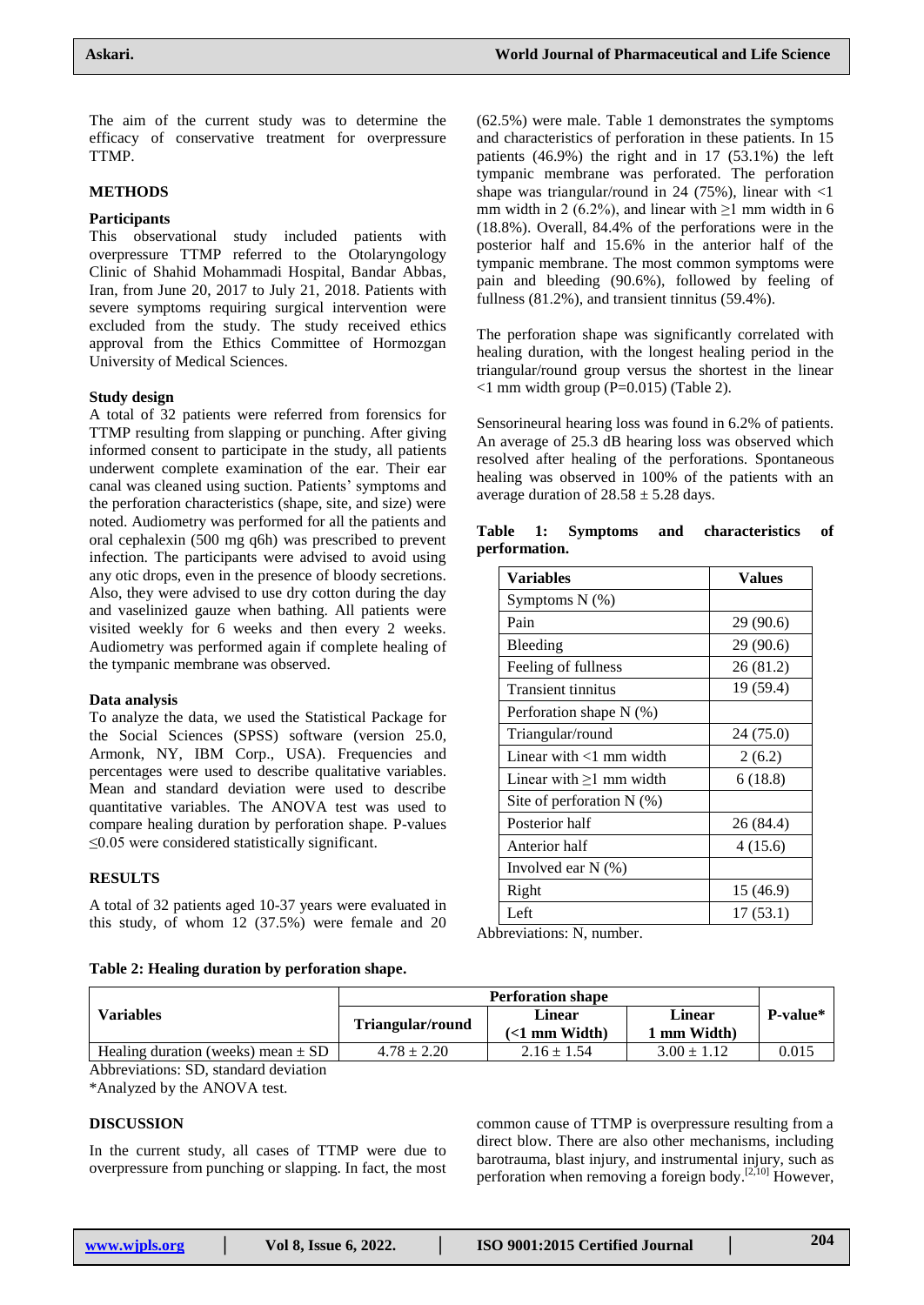The aim of the current study was to determine the efficacy of conservative treatment for overpressure TTMP.

#### **METHODS**

#### **Participants**

This observational study included patients with overpressure TTMP referred to the Otolaryngology Clinic of Shahid Mohammadi Hospital, Bandar Abbas, Iran, from June 20, 2017 to July 21, 2018. Patients with severe symptoms requiring surgical intervention were excluded from the study. The study received ethics approval from the Ethics Committee of Hormozgan University of Medical Sciences.

## **Study design**

A total of 32 patients were referred from forensics for TTMP resulting from slapping or punching. After giving informed consent to participate in the study, all patients underwent complete examination of the ear. Their ear canal was cleaned using suction. Patients' symptoms and the perforation characteristics (shape, site, and size) were noted. Audiometry was performed for all the patients and oral cephalexin (500 mg q6h) was prescribed to prevent infection. The participants were advised to avoid using any otic drops, even in the presence of bloody secretions. Also, they were advised to use dry cotton during the day and vaselinized gauze when bathing. All patients were visited weekly for 6 weeks and then every 2 weeks. Audiometry was performed again if complete healing of the tympanic membrane was observed.

#### **Data analysis**

To analyze the data, we used the Statistical Package for the Social Sciences (SPSS) software (version 25.0, Armonk, NY, IBM Corp., USA). Frequencies and percentages were used to describe qualitative variables. Mean and standard deviation were used to describe quantitative variables. The ANOVA test was used to compare healing duration by perforation shape. P-values  $\leq$ 0.05 were considered statistically significant.

## **RESULTS**

A total of 32 patients aged 10-37 years were evaluated in this study, of whom 12 (37.5%) were female and 20

**Table 2: Healing duration by perforation shape.**

(62.5%) were male. Table 1 demonstrates the symptoms and characteristics of perforation in these patients. In 15 patients (46.9%) the right and in 17 (53.1%) the left tympanic membrane was perforated. The perforation shape was triangular/round in 24 (75%), linear with  $\langle$ 1 mm width in 2 (6.2%), and linear with  $\geq$ 1 mm width in 6 (18.8%). Overall, 84.4% of the perforations were in the posterior half and 15.6% in the anterior half of the tympanic membrane. The most common symptoms were pain and bleeding (90.6%), followed by feeling of fullness (81.2%), and transient tinnitus (59.4%).

The perforation shape was significantly correlated with healing duration, with the longest healing period in the triangular/round group versus the shortest in the linear  $\leq$ 1 mm width group (P=0.015) (Table 2).

Sensorineural hearing loss was found in 6.2% of patients. An average of 25.3 dB hearing loss was observed which resolved after healing of the perforations. Spontaneous healing was observed in 100% of the patients with an average duration of  $28.58 \pm 5.28$  days.

**Table 1: Symptoms and characteristics of** 

| <b>Variables</b>          | <b>Values</b>  |  |
|---------------------------|----------------|--|
| Symptoms $N$ $(\%)$       |                |  |
| Pain                      | 29(90.6)       |  |
| Bleeding                  | 29(90.6)       |  |
| Feeling of fullness       | 26(81.2)       |  |
| <b>Transient tinnitus</b> | 19(59.4)       |  |
| Perforation shape $N(\%)$ |                |  |
| лема — 1. <i>Пр. на</i> 1 | $24.775$ $0\%$ |  |

| reeming of fullmess           | 20 (81.2) |
|-------------------------------|-----------|
| <b>Transient tinnitus</b>     | 19 (59.4) |
| Perforation shape N (%)       |           |
| Triangular/round              | 24 (75.0) |
| Linear with $<$ 1 mm width    | 2(6.2)    |
| Linear with $\geq 1$ mm width | 6(18.8)   |
| Site of perforation $N(\%)$   |           |
| Posterior half                | 26 (84.4) |
| Anterior half                 | 4(15.6)   |
| Involved ear $N(\%)$          |           |
| Right                         | 15 (46.9) |

Left  $17 (53.1)$ 

Abbreviations: N, number.

|                                        | <b>Perforation shape</b> |                                          |                             |                  |
|----------------------------------------|--------------------------|------------------------------------------|-----------------------------|------------------|
| <b>Variables</b>                       | Triangular/round         | Linear<br>$\left($ <1 mm Width $\right)$ | <b>Linear</b><br>1 mm Width | <b>P-value</b> * |
| Healing duration (weeks) mean $\pm$ SD | $4.78 \pm 2.20$          | $2.16 \pm 1.54$                          | $3.00 \pm 1.12$             | 0.015            |

Abbreviations: SD, standard deviation

\*Analyzed by the ANOVA test.

#### **DISCUSSION**

In the current study, all cases of TTMP were due to overpressure from punching or slapping. In fact, the most

common cause of TTMP is overpressure resulting from a direct blow. There are also other mechanisms, including barotrauma, blast injury, and instrumental injury, such as perforation when removing a foreign body.<sup>[2,10]</sup> However,